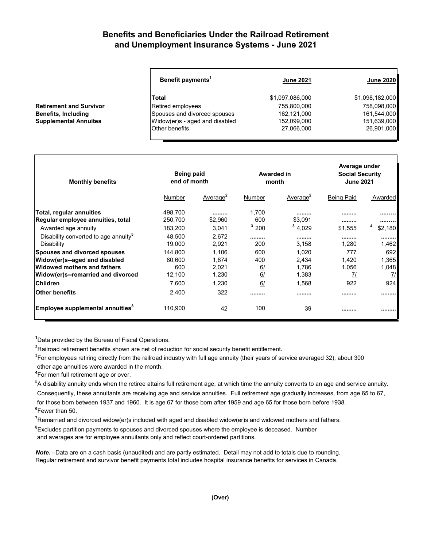## **Benefits and Beneficiaries Under the Railroad Retirement and Unemployment Insurance Systems - June 2021**

| Benefit payments <sup>1</sup>  | <b>June 2021</b> | <b>June 2020</b> |
|--------------------------------|------------------|------------------|
| Total                          | \$1,097,086,000  | \$1,098,182,000  |
| Retired employees              | 755,800,000      | 758,098,000      |
| Spouses and divorced spouses   | 162,121,000      | 161,544,000      |
| Widow(er)s - aged and disabled | 152,099,000      | 151,639,000      |
| Other benefits                 | 27,066,000       | 26,901,000       |

| <b>Monthly benefits</b>                          | Being paid<br>end of month |                      | Awarded in<br>month |                      | Average under<br><b>Social Security</b><br><b>June 2021</b> |               |
|--------------------------------------------------|----------------------------|----------------------|---------------------|----------------------|-------------------------------------------------------------|---------------|
|                                                  | Number                     | Average <sup>2</sup> | Number              | Average <sup>2</sup> | <b>Being Paid</b>                                           | Awarded       |
| Total, regular annuities                         | 498,700                    |                      | 1,700               |                      |                                                             |               |
| Regular employee annuities, total                | 250,700                    | \$2,960              | 600                 | \$3,091              |                                                             |               |
| Awarded age annuity                              | 183,200                    | 3.041                | $3\,200$            | 34,029               | \$1.555                                                     | \$2,180       |
| Disability converted to age annuity <sup>5</sup> | 48.500                     | 2.672                |                     |                      |                                                             |               |
| Disability                                       | 19.000                     | 2.921                | 200                 | 3,158                | 1.280                                                       | 1,462         |
| Spouses and divorced spouses                     | 144,800                    | 1.106                | 600                 | 1,020                | 777                                                         | 692           |
| Widow(er)s--aged and disabled                    | 80.600                     | 1.874                | 400                 | 2.434                | 1.420                                                       | 1,365         |
| Widowed mothers and fathers                      | 600                        | 2,021                | 6/                  | 1,786                | 1,056                                                       | 1,048         |
| Widow(er)s--remarried and divorced               | 12,100                     | 1,230                | 6/                  | 1,383                | $\frac{7}{2}$                                               | $\frac{7}{2}$ |
| <b>Children</b>                                  | 7,600                      | 1.230                | 6/                  | 1,568                | 922                                                         | 924           |
| <b>Other benefits</b>                            | 2,400                      | 322                  |                     |                      |                                                             |               |
| Employee supplemental annuities <sup>°</sup>     | 110,900                    | 42                   | 100                 | 39                   |                                                             |               |

**1** Data provided by the Bureau of Fiscal Operations.

**2** Railroad retirement benefits shown are net of reduction for social security benefit entitlement.

**3** For employees retiring directly from the railroad industry with full age annuity (their years of service averaged 32); about 300

other age annuities were awarded in the month.

**4** For men full retirement age or over.

**Retirement and Survivor Benefits, Including Supplemental Annuites** 

 $^5$ A disability annuity ends when the retiree attains full retirement age, at which time the annuity converts to an age and service annuity. Consequently, these annuitants are receiving age and service annuities. Full retirement age gradually increases, from age 65 to 67, for those born between 1937 and 1960. It is age 67 for those born after 1959 and age 65 for those born before 1938. **6** Fewer than 50.

**7** Remarried and divorced widow(er)s included with aged and disabled widow(er)s and widowed mothers and fathers.

**8** Excludes partition payments to spouses and divorced spouses where the employee is deceased. Number

and averages are for employee annuitants only and reflect court-ordered partitions.

*Note.* --Data are on a cash basis (unaudited) and are partly estimated. Detail may not add to totals due to rounding. Regular retirement and survivor benefit payments total includes hospital insurance benefits for services in Canada.